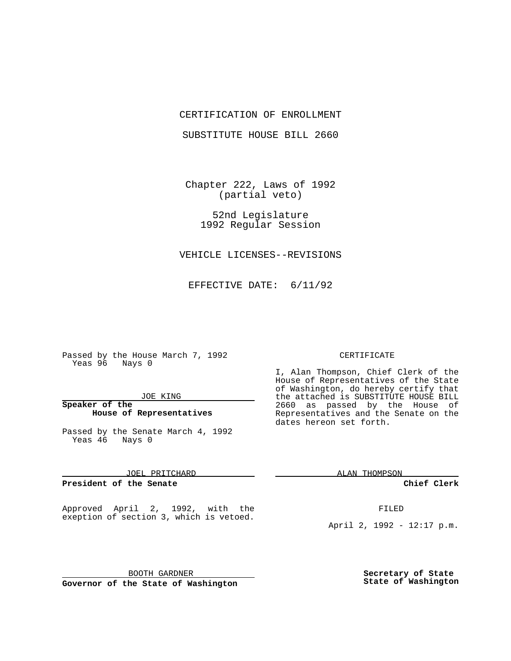# CERTIFICATION OF ENROLLMENT

SUBSTITUTE HOUSE BILL 2660

Chapter 222, Laws of 1992 (partial veto)

> 52nd Legislature 1992 Regular Session

VEHICLE LICENSES--REVISIONS

EFFECTIVE DATE: 6/11/92

Passed by the House March 7, 1992 Yeas 96 Nays 0

## JOE KING

# **Speaker of the House of Representatives**

Passed by the Senate March 4, 1992 Yeas 46 Nays 0

JOEL PRITCHARD

**President of the Senate**

Approved April 2, 1992, with the exeption of section 3, which is vetoed.

BOOTH GARDNER **Governor of the State of Washington**

#### CERTIFICATE

I, Alan Thompson, Chief Clerk of the House of Representatives of the State of Washington, do hereby certify that the attached is SUBSTITUTE HOUSE BILL 2660 as passed by the House of Representatives and the Senate on the dates hereon set forth.

ALAN THOMPSON

**Chief Clerk**

FILED

April 2, 1992 - 12:17 p.m.

**Secretary of State State of Washington**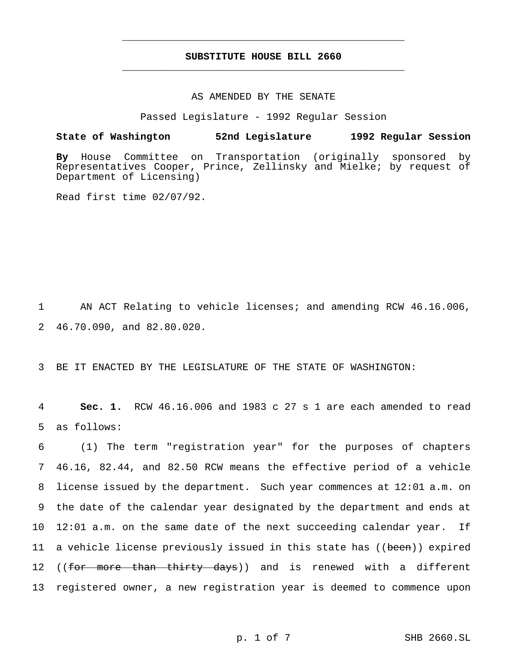# **SUBSTITUTE HOUSE BILL 2660** \_\_\_\_\_\_\_\_\_\_\_\_\_\_\_\_\_\_\_\_\_\_\_\_\_\_\_\_\_\_\_\_\_\_\_\_\_\_\_\_\_\_\_\_\_\_\_

\_\_\_\_\_\_\_\_\_\_\_\_\_\_\_\_\_\_\_\_\_\_\_\_\_\_\_\_\_\_\_\_\_\_\_\_\_\_\_\_\_\_\_\_\_\_\_

### AS AMENDED BY THE SENATE

Passed Legislature - 1992 Regular Session

**State of Washington 52nd Legislature 1992 Regular Session**

**By** House Committee on Transportation (originally sponsored by Representatives Cooper, Prince, Zellinsky and Mielke; by request of Department of Licensing)

Read first time 02/07/92.

1 AN ACT Relating to vehicle licenses; and amending RCW 46.16.006, 2 46.70.090, and 82.80.020.

3 BE IT ENACTED BY THE LEGISLATURE OF THE STATE OF WASHINGTON:

4 **Sec. 1.** RCW 46.16.006 and 1983 c 27 s 1 are each amended to read 5 as follows:

 (1) The term "registration year" for the purposes of chapters 46.16, 82.44, and 82.50 RCW means the effective period of a vehicle license issued by the department. Such year commences at 12:01 a.m. on the date of the calendar year designated by the department and ends at 12:01 a.m. on the same date of the next succeeding calendar year. If 11 a vehicle license previously issued in this state has ((been)) expired 12 ((for more than thirty days)) and is renewed with a different registered owner, a new registration year is deemed to commence upon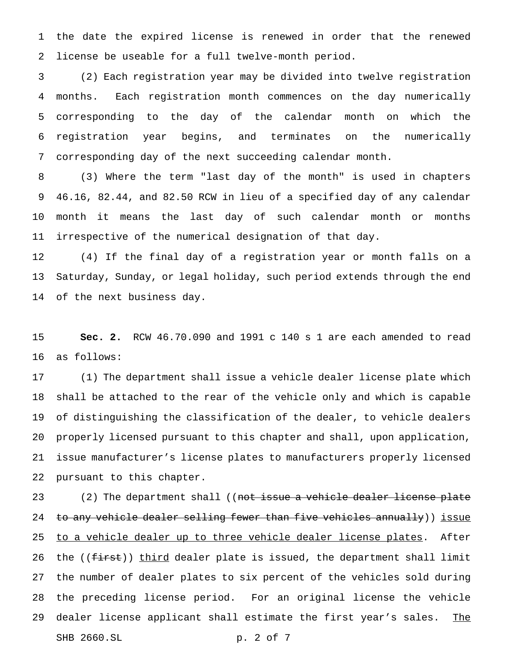the date the expired license is renewed in order that the renewed license be useable for a full twelve-month period.

 (2) Each registration year may be divided into twelve registration months. Each registration month commences on the day numerically corresponding to the day of the calendar month on which the registration year begins, and terminates on the numerically corresponding day of the next succeeding calendar month.

 (3) Where the term "last day of the month" is used in chapters 46.16, 82.44, and 82.50 RCW in lieu of a specified day of any calendar month it means the last day of such calendar month or months irrespective of the numerical designation of that day.

 (4) If the final day of a registration year or month falls on a Saturday, Sunday, or legal holiday, such period extends through the end of the next business day.

 **Sec. 2.** RCW 46.70.090 and 1991 c 140 s 1 are each amended to read as follows:

 (1) The department shall issue a vehicle dealer license plate which shall be attached to the rear of the vehicle only and which is capable of distinguishing the classification of the dealer, to vehicle dealers properly licensed pursuant to this chapter and shall, upon application, issue manufacturer's license plates to manufacturers properly licensed pursuant to this chapter.

23 (2) The department shall ((not issue a vehicle dealer license plate 24 to any vehicle dealer selling fewer than five vehicles annually)) issue 25 to a vehicle dealer up to three vehicle dealer license plates. After 26 the ((<del>first</del>)) third dealer plate is issued, the department shall limit the number of dealer plates to six percent of the vehicles sold during the preceding license period. For an original license the vehicle 29 dealer license applicant shall estimate the first year's sales. The SHB 2660.SL p. 2 of 7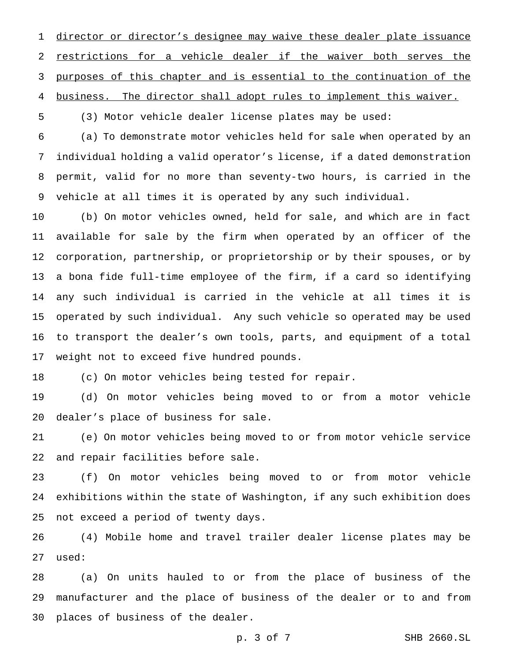director or director's designee may waive these dealer plate issuance 2 restrictions for a vehicle dealer if the waiver both serves the purposes of this chapter and is essential to the continuation of the business. The director shall adopt rules to implement this waiver.

(3) Motor vehicle dealer license plates may be used:

 (a) To demonstrate motor vehicles held for sale when operated by an individual holding a valid operator's license, if a dated demonstration permit, valid for no more than seventy-two hours, is carried in the vehicle at all times it is operated by any such individual.

 (b) On motor vehicles owned, held for sale, and which are in fact available for sale by the firm when operated by an officer of the corporation, partnership, or proprietorship or by their spouses, or by a bona fide full-time employee of the firm, if a card so identifying any such individual is carried in the vehicle at all times it is operated by such individual. Any such vehicle so operated may be used to transport the dealer's own tools, parts, and equipment of a total weight not to exceed five hundred pounds.

(c) On motor vehicles being tested for repair.

 (d) On motor vehicles being moved to or from a motor vehicle dealer's place of business for sale.

 (e) On motor vehicles being moved to or from motor vehicle service and repair facilities before sale.

 (f) On motor vehicles being moved to or from motor vehicle exhibitions within the state of Washington, if any such exhibition does not exceed a period of twenty days.

 (4) Mobile home and travel trailer dealer license plates may be used:

 (a) On units hauled to or from the place of business of the manufacturer and the place of business of the dealer or to and from places of business of the dealer.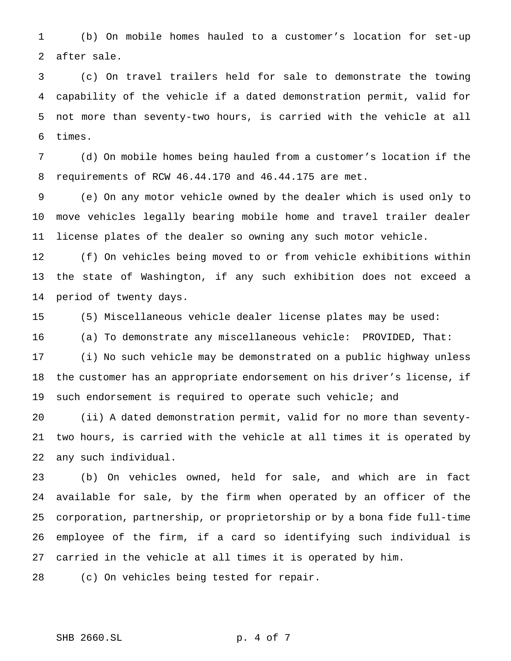(b) On mobile homes hauled to a customer's location for set-up after sale.

 (c) On travel trailers held for sale to demonstrate the towing capability of the vehicle if a dated demonstration permit, valid for not more than seventy-two hours, is carried with the vehicle at all times.

 (d) On mobile homes being hauled from a customer's location if the requirements of RCW 46.44.170 and 46.44.175 are met.

 (e) On any motor vehicle owned by the dealer which is used only to move vehicles legally bearing mobile home and travel trailer dealer license plates of the dealer so owning any such motor vehicle.

 (f) On vehicles being moved to or from vehicle exhibitions within the state of Washington, if any such exhibition does not exceed a period of twenty days.

(5) Miscellaneous vehicle dealer license plates may be used:

(a) To demonstrate any miscellaneous vehicle: PROVIDED, That:

 (i) No such vehicle may be demonstrated on a public highway unless the customer has an appropriate endorsement on his driver's license, if such endorsement is required to operate such vehicle; and

 (ii) A dated demonstration permit, valid for no more than seventy- two hours, is carried with the vehicle at all times it is operated by any such individual.

 (b) On vehicles owned, held for sale, and which are in fact available for sale, by the firm when operated by an officer of the corporation, partnership, or proprietorship or by a bona fide full-time employee of the firm, if a card so identifying such individual is carried in the vehicle at all times it is operated by him.

(c) On vehicles being tested for repair.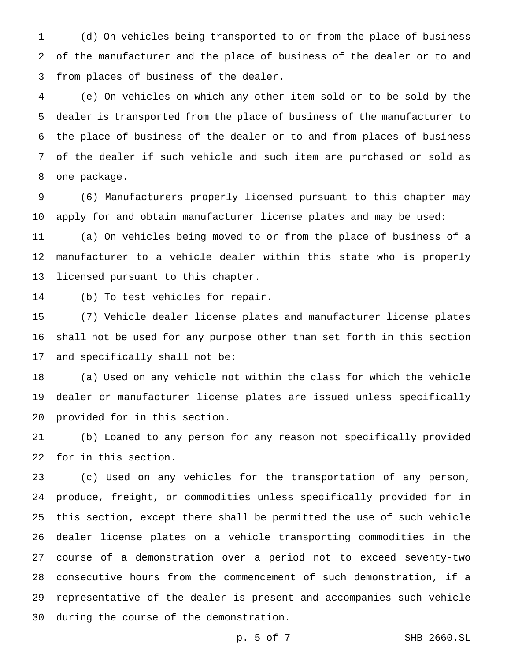(d) On vehicles being transported to or from the place of business of the manufacturer and the place of business of the dealer or to and from places of business of the dealer.

 (e) On vehicles on which any other item sold or to be sold by the dealer is transported from the place of business of the manufacturer to the place of business of the dealer or to and from places of business of the dealer if such vehicle and such item are purchased or sold as one package.

 (6) Manufacturers properly licensed pursuant to this chapter may apply for and obtain manufacturer license plates and may be used:

 (a) On vehicles being moved to or from the place of business of a manufacturer to a vehicle dealer within this state who is properly licensed pursuant to this chapter.

(b) To test vehicles for repair.

 (7) Vehicle dealer license plates and manufacturer license plates shall not be used for any purpose other than set forth in this section and specifically shall not be:

 (a) Used on any vehicle not within the class for which the vehicle dealer or manufacturer license plates are issued unless specifically provided for in this section.

 (b) Loaned to any person for any reason not specifically provided for in this section.

 (c) Used on any vehicles for the transportation of any person, produce, freight, or commodities unless specifically provided for in this section, except there shall be permitted the use of such vehicle dealer license plates on a vehicle transporting commodities in the course of a demonstration over a period not to exceed seventy-two consecutive hours from the commencement of such demonstration, if a representative of the dealer is present and accompanies such vehicle during the course of the demonstration.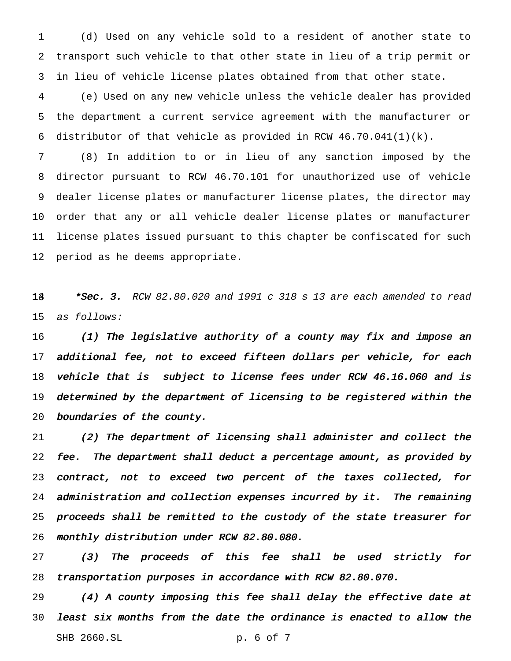(d) Used on any vehicle sold to a resident of another state to transport such vehicle to that other state in lieu of a trip permit or in lieu of vehicle license plates obtained from that other state.

 (e) Used on any new vehicle unless the vehicle dealer has provided the department a current service agreement with the manufacturer or distributor of that vehicle as provided in RCW 46.70.041(1)(k).

 (8) In addition to or in lieu of any sanction imposed by the director pursuant to RCW 46.70.101 for unauthorized use of vehicle dealer license plates or manufacturer license plates, the director may order that any or all vehicle dealer license plates or manufacturer license plates issued pursuant to this chapter be confiscated for such period as he deems appropriate.

14  $*$ Sec. 3. RCW 82.80.020 and 1991 c 318 s 13 are each amended to read as follows:

 (1) The legislative authority of <sup>a</sup> county may fix and impose an additional fee, not to exceed fifteen dollars per vehicle, for each 18 vehicle that is subject to license fees under RCW 46.16.060 and is determined by the department of licensing to be registered within the boundaries of the county.

 (2) The department of licensing shall administer and collect the fee. The department shall deduct <sup>a</sup> percentage amount, as provided by contract, not to exceed two percent of the taxes collected, for administration and collection expenses incurred by it. The remaining proceeds shall be remitted to the custody of the state treasurer for monthly distribution under RCW 82.80.080.

 (3) The proceeds of this fee shall be used strictly for transportation purposes in accordance with RCW 82.80.070.

 (4) <sup>A</sup> county imposing this fee shall delay the effective date at least six months from the date the ordinance is enacted to allow the SHB 2660.SL p. 6 of 7